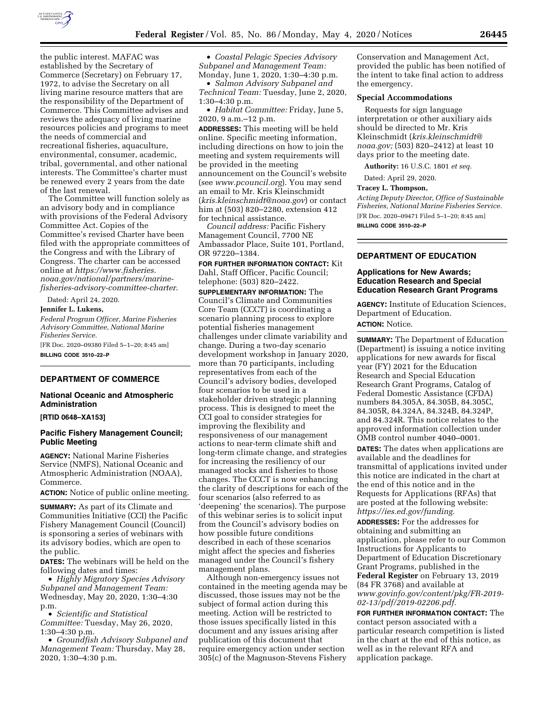

the public interest. MAFAC was established by the Secretary of Commerce (Secretary) on February 17, 1972, to advise the Secretary on all living marine resource matters that are the responsibility of the Department of Commerce. This Committee advises and reviews the adequacy of living marine resources policies and programs to meet the needs of commercial and recreational fisheries, aquaculture, environmental, consumer, academic, tribal, governmental, and other national interests. The Committee's charter must be renewed every 2 years from the date of the last renewal.

The Committee will function solely as an advisory body and in compliance with provisions of the Federal Advisory Committee Act. Copies of the Committee's revised Charter have been filed with the appropriate committees of the Congress and with the Library of Congress. The charter can be accessed online at *[https://www.fisheries.](https://www.fisheries.noaa.gov/national/partners/marine-fisheries-advisory-committee-charter) [noaa.gov/national/partners/marine](https://www.fisheries.noaa.gov/national/partners/marine-fisheries-advisory-committee-charter)[fisheries-advisory-committee-charter](https://www.fisheries.noaa.gov/national/partners/marine-fisheries-advisory-committee-charter)*.

Dated: April 24, 2020.

# **Jennifer L. Lukens,**

*Federal Program Officer, Marine Fisheries Advisory Committee, National Marine Fisheries Service.* 

[FR Doc. 2020–09380 Filed 5–1–20; 8:45 am] **BILLING CODE 3510–22–P** 

# **DEPARTMENT OF COMMERCE**

# **National Oceanic and Atmospheric Administration**

**[RTID 0648–XA153]** 

## **Pacific Fishery Management Council; Public Meeting**

**AGENCY:** National Marine Fisheries Service (NMFS), National Oceanic and Atmospheric Administration (NOAA), Commerce.

**ACTION:** Notice of public online meeting.

**SUMMARY:** As part of its Climate and Communities Initiative (CCI) the Pacific Fishery Management Council (Council) is sponsoring a series of webinars with its advisory bodies, which are open to the public.

**DATES:** The webinars will be held on the following dates and times:

• *Highly Migratory Species Advisory Subpanel and Management Team:*  Wednesday, May 20, 2020, 1:30–4:30 p.m.

• *Scientific and Statistical Committee:* Tuesday, May 26, 2020, 1:30–4:30 p.m.

• *Groundfish Advisory Subpanel and Management Team:* Thursday, May 28, 2020, 1:30–4:30 p.m.

• *Coastal Pelagic Species Advisory Subpanel and Management Team:*  Monday, June 1, 2020, 1:30–4:30 p.m.

• *Salmon Advisory Subpanel and Technical Team:* Tuesday, June 2, 2020, 1:30–4:30 p.m.

• *Habitat Committee:* Friday, June 5, 2020, 9 a.m.–12 p.m.

**ADDRESSES:** This meeting will be held online. Specific meeting information, including directions on how to join the meeting and system requirements will be provided in the meeting announcement on the Council's website (see *[www.pcouncil.org](http://www.pcouncil.org)*). You may send an email to Mr. Kris Kleinschmidt (*[kris.kleinschmidt@noaa.gov](mailto:kris.kleinschmidt@noaa.gov)*) or contact him at (503) 820–2280, extension 412 for technical assistance.

*Council address:* Pacific Fishery Management Council, 7700 NE Ambassador Place, Suite 101, Portland, OR 97220–1384.

**FOR FURTHER INFORMATION CONTACT:** Kit Dahl, Staff Officer, Pacific Council; telephone: (503) 820–2422.

**SUPPLEMENTARY INFORMATION:** The Council's Climate and Communities Core Team (CCCT) is coordinating a scenario planning process to explore potential fisheries management challenges under climate variability and change. During a two-day scenario development workshop in January 2020, more than 70 participants, including representatives from each of the Council's advisory bodies, developed four scenarios to be used in a stakeholder driven strategic planning process. This is designed to meet the CCI goal to consider strategies for improving the flexibility and responsiveness of our management actions to near-term climate shift and long-term climate change, and strategies for increasing the resiliency of our managed stocks and fisheries to those changes. The CCCT is now enhancing the clarity of descriptions for each of the four scenarios (also referred to as 'deepening' the scenarios). The purpose of this webinar series is to solicit input from the Council's advisory bodies on how possible future conditions described in each of these scenarios might affect the species and fisheries managed under the Council's fishery management plans.

Although non-emergency issues not contained in the meeting agenda may be discussed, those issues may not be the subject of formal action during this meeting. Action will be restricted to those issues specifically listed in this document and any issues arising after publication of this document that require emergency action under section 305(c) of the Magnuson-Stevens Fishery

Conservation and Management Act, provided the public has been notified of the intent to take final action to address the emergency.

## **Special Accommodations**

Requests for sign language interpretation or other auxiliary aids should be directed to Mr. Kris Kleinschmidt (*[kris.kleinschmidt@](mailto:kris.kleinschmidt@noaa.gov) [noaa.gov;](mailto:kris.kleinschmidt@noaa.gov)* (503) 820–2412) at least 10 days prior to the meeting date.

**Authority:** 16 U.S.C. 1801 *et seq.* 

Dated: April 29, 2020.

#### **Tracey L. Thompson,**

*Acting Deputy Director, Office of Sustainable Fisheries, National Marine Fisheries Service.*  [FR Doc. 2020–09471 Filed 5–1–20; 8:45 am] **BILLING CODE 3510–22–P** 

**DEPARTMENT OF EDUCATION** 

## **Applications for New Awards; Education Research and Special Education Research Grant Programs**

**AGENCY:** Institute of Education Sciences, Department of Education. **ACTION:** Notice.

**SUMMARY:** The Department of Education (Department) is issuing a notice inviting applications for new awards for fiscal year (FY) 2021 for the Education Research and Special Education Research Grant Programs, Catalog of Federal Domestic Assistance (CFDA) numbers 84.305A, 84.305B, 84.305C, 84.305R, 84.324A, 84.324B, 84.324P, and 84.324R. This notice relates to the approved information collection under OMB control number 4040–0001.

**DATES:** The dates when applications are available and the deadlines for transmittal of applications invited under this notice are indicated in the chart at the end of this notice and in the Requests for Applications (RFAs) that are posted at the following website: *[https://ies.ed.gov/funding.](https://ies.ed.gov/funding)* 

**ADDRESSES:** For the addresses for obtaining and submitting an application, please refer to our Common Instructions for Applicants to Department of Education Discretionary Grant Programs, published in the **Federal Register** on February 13, 2019 (84 FR 3768) and available at *[www.govinfo.gov/content/pkg/FR-2019-](http://www.govinfo.gov/content/pkg/FR-2019-02-13/pdf/2019-02206.pdf) [02-13/pdf/2019-02206.pdf.](http://www.govinfo.gov/content/pkg/FR-2019-02-13/pdf/2019-02206.pdf)* 

**FOR FURTHER INFORMATION CONTACT:** The contact person associated with a particular research competition is listed in the chart at the end of this notice, as well as in the relevant RFA and application package.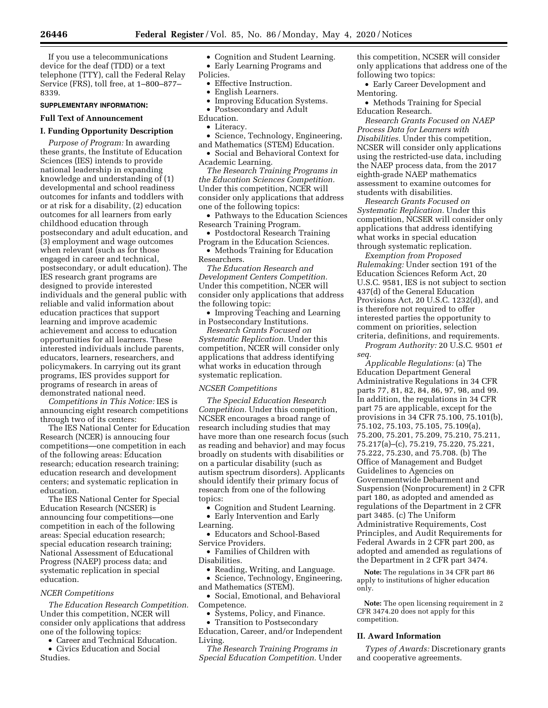If you use a telecommunications device for the deaf (TDD) or a text telephone (TTY), call the Federal Relay Service (FRS), toll free, at 1–800–877– 8339.

## **SUPPLEMENTARY INFORMATION:**

## **Full Text of Announcement**

#### **I. Funding Opportunity Description**

*Purpose of Program:* In awarding these grants, the Institute of Education Sciences (IES) intends to provide national leadership in expanding knowledge and understanding of (1) developmental and school readiness outcomes for infants and toddlers with or at risk for a disability, (2) education outcomes for all learners from early childhood education through postsecondary and adult education, and (3) employment and wage outcomes when relevant (such as for those engaged in career and technical, postsecondary, or adult education). The IES research grant programs are designed to provide interested individuals and the general public with reliable and valid information about education practices that support learning and improve academic achievement and access to education opportunities for all learners. These interested individuals include parents, educators, learners, researchers, and policymakers. In carrying out its grant programs, IES provides support for programs of research in areas of demonstrated national need.

*Competitions in This Notice:* IES is announcing eight research competitions through two of its centers:

The IES National Center for Education Research (NCER) is annoucing four competitions—one competition in each of the following areas: Education research; education research training; education research and development centers; and systematic replication in education.

The IES National Center for Special Education Research (NCSER) is announcing four competitions—one competition in each of the following areas: Special education research; special education research training; National Assessment of Educational Progress (NAEP) process data; and systematic replication in special education.

### *NCER Competitions*

*The Education Research Competition.*  Under this competition, NCER will consider only applications that address one of the following topics:

• Career and Technical Education.

• Civics Education and Social Studies.

• Cognition and Student Learning.

• Early Learning Programs and Policies.

- Effective Instruction.
- English Learners.
- Improving Education Systems.
- Postsecondary and Adult
- Education.
- Literacy.
- Science, Technology, Engineering,
- and Mathematics (STEM) Education. • Social and Behavioral Context for Academic Learning.

*The Research Training Programs in the Education Sciences Competition.*  Under this competition, NCER will consider only applications that address one of the following topics:

• Pathways to the Education Sciences Research Training Program.

• Postdoctoral Research Training Program in the Education Sciences.

• Methods Training for Education Researchers.

*The Education Research and Development Centers Competition.*  Under this competition, NCER will consider only applications that address the following topic:

• Improving Teaching and Learning in Postsecondary Institutions.

*Research Grants Focused on Systematic Replication.* Under this competition, NCER will consider only applications that address identifying what works in education through systematic replication.

## *NCSER Competitions*

*The Special Education Research Competition.* Under this competition, NCSER encourages a broad range of research including studies that may have more than one research focus (such as reading and behavior) and may focus broadly on students with disabilities or on a particular disability (such as autism spectrum disorders). Applicants should identify their primary focus of research from one of the following topics:

- Cognition and Student Learning. • Early Intervention and Early
- Learning.
- Educators and School-Based Service Providers.

• Families of Children with Disabilities.

- Reading, Writing, and Language.
- Science, Technology, Engineering, and Mathematics (STEM).

• Social, Emotional, and Behavioral Competence.

- Systems, Policy, and Finance.
- Transition to Postsecondary

Education, Career, and/or Independent Living.

*The Research Training Programs in Special Education Competition.* Under this competition, NCSER will consider only applications that address one of the following two topics:

• Early Career Development and Mentoring.

• Methods Training for Special Education Research.

*Research Grants Focused on NAEP Process Data for Learners with Disabilities.* Under this competition, NCSER will consider only applications using the restricted-use data, including the NAEP process data, from the 2017 eighth-grade NAEP mathematics assessment to examine outcomes for students with disabilities.

*Research Grants Focused on Systematic Replication.* Under this competition, NCSER will consider only applications that address identifying what works in special education through systematic replication.

*Exemption from Proposed Rulemaking:* Under section 191 of the Education Sciences Reform Act, 20 U.S.C. 9581, IES is not subject to section 437(d) of the General Education Provisions Act, 20 U.S.C. 1232(d), and is therefore not required to offer interested parties the opportunity to comment on priorities, selection criteria, definitions, and requirements.

*Program Authority:* 20 U.S.C. 9501 *et seq.* 

*Applicable Regulations:* (a) The Education Department General Administrative Regulations in 34 CFR parts 77, 81, 82, 84, 86, 97, 98, and 99. In addition, the regulations in 34 CFR part 75 are applicable, except for the provisions in 34 CFR 75.100, 75.101(b), 75.102, 75.103, 75.105, 75.109(a), 75.200, 75.201, 75.209, 75.210, 75.211, 75.217(a)–(c), 75.219, 75.220, 75.221, 75.222, 75.230, and 75.708. (b) The Office of Management and Budget Guidelines to Agencies on Governmentwide Debarment and Suspension (Nonprocurement) in 2 CFR part 180, as adopted and amended as regulations of the Department in 2 CFR part 3485. (c) The Uniform Administrative Requirements, Cost Principles, and Audit Requirements for Federal Awards in 2 CFR part 200, as adopted and amended as regulations of the Department in 2 CFR part 3474.

**Note:** The regulations in 34 CFR part 86 apply to institutions of higher education only.

**Note:** The open licensing requirement in 2 CFR 3474.20 does not apply for this competition.

#### **II. Award Information**

*Types of Awards:* Discretionary grants and cooperative agreements.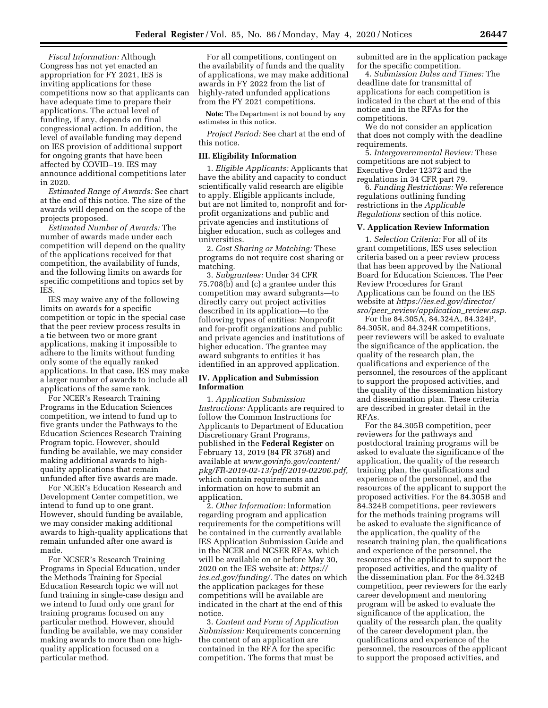*Fiscal Information:* Although Congress has not yet enacted an appropriation for FY 2021, IES is inviting applications for these competitions now so that applicants can have adequate time to prepare their applications. The actual level of funding, if any, depends on final congressional action. In addition, the level of available funding may depend on IES provision of additional support for ongoing grants that have been affected by COVID–19. IES may announce additional competitions later in 2020.

*Estimated Range of Awards:* See chart at the end of this notice. The size of the awards will depend on the scope of the projects proposed.

*Estimated Number of Awards:* The number of awards made under each competition will depend on the quality of the applications received for that competition, the availability of funds, and the following limits on awards for specific competitions and topics set by IES.

IES may waive any of the following limits on awards for a specific competition or topic in the special case that the peer review process results in a tie between two or more grant applications, making it impossible to adhere to the limits without funding only some of the equally ranked applications. In that case, IES may make a larger number of awards to include all applications of the same rank.

For NCER's Research Training Programs in the Education Sciences competition, we intend to fund up to five grants under the Pathways to the Education Sciences Research Training Program topic. However, should funding be available, we may consider making additional awards to highquality applications that remain unfunded after five awards are made.

For NCER's Education Research and Development Center competition, we intend to fund up to one grant. However, should funding be available, we may consider making additional awards to high-quality applications that remain unfunded after one award is made.

For NCSER's Research Training Programs in Special Education, under the Methods Training for Special Education Research topic we will not fund training in single-case design and we intend to fund only one grant for training programs focused on any particular method. However, should funding be available, we may consider making awards to more than one highquality application focused on a particular method.

For all competitions, contingent on the availability of funds and the quality of applications, we may make additional awards in FY 2022 from the list of highly-rated unfunded applications from the FY 2021 competitions.

**Note:** The Department is not bound by any estimates in this notice.

*Project Period:* See chart at the end of this notice.

#### **III. Eligibility Information**

1. *Eligible Applicants:* Applicants that have the ability and capacity to conduct scientifically valid research are eligible to apply. Eligible applicants include, but are not limited to, nonprofit and forprofit organizations and public and private agencies and institutions of higher education, such as colleges and universities.

2. *Cost Sharing or Matching:* These programs do not require cost sharing or matching.

3. *Subgrantees:* Under 34 CFR 75.708(b) and (c) a grantee under this competition may award subgrants—to directly carry out project activities described in its application—to the following types of entities: Nonprofit and for-profit organizations and public and private agencies and institutions of higher education. The grantee may award subgrants to entities it has identified in an approved application.

## **IV. Application and Submission Information**

1. *Application Submission Instructions:* Applicants are required to follow the Common Instructions for Applicants to Department of Education Discretionary Grant Programs, published in the **Federal Register** on February 13, 2019 (84 FR 3768) and available at *[www.govinfo.gov/content/](http://www.govinfo.gov/content/pkg/FR-2019-02-13/pdf/2019-02206.pdf)  [pkg/FR-2019-02-13/pdf/2019-02206.pdf,](http://www.govinfo.gov/content/pkg/FR-2019-02-13/pdf/2019-02206.pdf)*  which contain requirements and information on how to submit an application.

2. *Other Information:* Information regarding program and application requirements for the competitions will be contained in the currently available IES Application Submission Guide and in the NCER and NCSER RFAs, which will be available on or before May 30, 2020 on the IES website at: *[https://](https://ies.ed.gov/funding/) [ies.ed.gov/funding/.](https://ies.ed.gov/funding/)* The dates on which the application packages for these competitions will be available are indicated in the chart at the end of this notice.

3. *Content and Form of Application Submission:* Requirements concerning the content of an application are contained in the RFA for the specific competition. The forms that must be

submitted are in the application package for the specific competition.

4. *Submission Dates and Times:* The deadline date for transmittal of applications for each competition is indicated in the chart at the end of this notice and in the RFAs for the competitions.

We do not consider an application that does not comply with the deadline requirements.

5. *Intergovernmental Review:* These competitions are not subject to Executive Order 12372 and the regulations in 34 CFR part 79.

6. *Funding Restrictions:* We reference regulations outlining funding restrictions in the *Applicable Regulations* section of this notice.

#### **V. Application Review Information**

1. *Selection Criteria:* For all of its grant competitions, IES uses selection criteria based on a peer review process that has been approved by the National Board for Education Sciences. The Peer Review Procedures for Grant Applications can be found on the IES website at *[https://ies.ed.gov/director/](https://ies.ed.gov/director/sro/peer_review/application_review.asp) sro/peer*\_*[review/application](https://ies.ed.gov/director/sro/peer_review/application_review.asp)*\_*review.asp.* 

For the 84.305A, 84.324A, 84.324P, 84.305R, and 84.324R competitions, peer reviewers will be asked to evaluate the significance of the application, the quality of the research plan, the qualifications and experience of the personnel, the resources of the applicant to support the proposed activities, and the quality of the dissemination history and dissemination plan. These criteria are described in greater detail in the RFAs.

For the 84.305B competition, peer reviewers for the pathways and postdoctoral training programs will be asked to evaluate the significance of the application, the quality of the research training plan, the qualifications and experience of the personnel, and the resources of the applicant to support the proposed activities. For the 84.305B and 84.324B competitions, peer reviewers for the methods training programs will be asked to evaluate the significance of the application, the quality of the research training plan, the qualifications and experience of the personnel, the resources of the applicant to support the proposed activities, and the quality of the dissemination plan. For the 84.324B competition, peer reviewers for the early career development and mentoring program will be asked to evaluate the significance of the application, the quality of the research plan, the quality of the career development plan, the qualifications and experience of the personnel, the resources of the applicant to support the proposed activities, and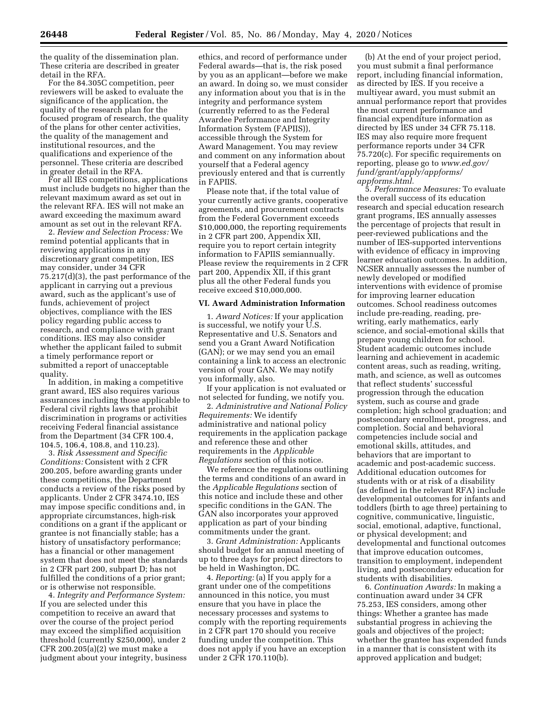the quality of the dissemination plan.

These criteria are described in greater detail in the RFA.

For the 84.305C competition, peer reviewers will be asked to evaluate the significance of the application, the quality of the research plan for the focused program of research, the quality of the plans for other center activities, the quality of the management and institutional resources, and the qualifications and experience of the personnel. These criteria are described in greater detail in the RFA.

For all IES competitions, applications must include budgets no higher than the relevant maximum award as set out in the relevant RFA. IES will not make an award exceeding the maximum award amount as set out in the relevant RFA.

2. *Review and Selection Process:* We remind potential applicants that in reviewing applications in any discretionary grant competition, IES may consider, under 34 CFR 75.217(d)(3), the past performance of the applicant in carrying out a previous award, such as the applicant's use of funds, achievement of project objectives, compliance with the IES policy regarding public access to research, and compliance with grant conditions. IES may also consider whether the applicant failed to submit a timely performance report or submitted a report of unacceptable quality.

In addition, in making a competitive grant award, IES also requires various assurances including those applicable to Federal civil rights laws that prohibit discrimination in programs or activities receiving Federal financial assistance from the Department (34 CFR 100.4, 104.5, 106.4, 108.8, and 110.23).

3. *Risk Assessment and Specific Conditions:* Consistent with 2 CFR 200.205, before awarding grants under these competitions, the Department conducts a review of the risks posed by applicants. Under 2 CFR 3474.10, IES may impose specific conditions and, in appropriate circumstances, high-risk conditions on a grant if the applicant or grantee is not financially stable; has a history of unsatisfactory performance; has a financial or other management system that does not meet the standards in 2 CFR part 200, subpart D; has not fulfilled the conditions of a prior grant; or is otherwise not responsible.

4. *Integrity and Performance System:*  If you are selected under this competition to receive an award that over the course of the project period may exceed the simplified acquisition threshold (currently \$250,000), under 2 CFR 200.205(a)(2) we must make a judgment about your integrity, business

ethics, and record of performance under Federal awards—that is, the risk posed by you as an applicant—before we make an award. In doing so, we must consider any information about you that is in the integrity and performance system (currently referred to as the Federal Awardee Performance and Integrity Information System (FAPIIS)), accessible through the System for Award Management. You may review and comment on any information about yourself that a Federal agency previously entered and that is currently in FAPIIS.

Please note that, if the total value of your currently active grants, cooperative agreements, and procurement contracts from the Federal Government exceeds \$10,000,000, the reporting requirements in 2 CFR part 200, Appendix XII, require you to report certain integrity information to FAPIIS semiannually. Please review the requirements in 2 CFR part 200, Appendix XII, if this grant plus all the other Federal funds you receive exceed \$10,000,000.

## **VI. Award Administration Information**

1. *Award Notices:* If your application is successful, we notify your U.S. Representative and U.S. Senators and send you a Grant Award Notification (GAN); or we may send you an email containing a link to access an electronic version of your GAN. We may notify you informally, also.

If your application is not evaluated or not selected for funding, we notify you.

2. *Administrative and National Policy Requirements:* We identify administrative and national policy requirements in the application package and reference these and other requirements in the *Applicable Regulations* section of this notice.

We reference the regulations outlining the terms and conditions of an award in the *Applicable Regulations* section of this notice and include these and other specific conditions in the GAN. The GAN also incorporates your approved application as part of your binding commitments under the grant.

3. *Grant Administration:* Applicants should budget for an annual meeting of up to three days for project directors to be held in Washington, DC.

4. *Reporting:* (a) If you apply for a grant under one of the competitions announced in this notice, you must ensure that you have in place the necessary processes and systems to comply with the reporting requirements in 2 CFR part 170 should you receive funding under the competition. This does not apply if you have an exception under 2 CFR 170.110(b).

(b) At the end of your project period, you must submit a final performance report, including financial information, as directed by IES. If you receive a multiyear award, you must submit an annual performance report that provides the most current performance and financial expenditure information as directed by IES under 34 CFR 75.118. IES may also require more frequent performance reports under 34 CFR 75.720(c). For specific requirements on reporting, please go to *[www.ed.gov/](http://www.ed.gov/fund/grant/apply/appforms/appforms.html) [fund/grant/apply/appforms/](http://www.ed.gov/fund/grant/apply/appforms/appforms.html) [appforms.html.](http://www.ed.gov/fund/grant/apply/appforms/appforms.html)* 

5. *Performance Measures:* To evaluate the overall success of its education research and special education research grant programs, IES annually assesses the percentage of projects that result in peer-reviewed publications and the number of IES-supported interventions with evidence of efficacy in improving learner education outcomes. In addition, NCSER annually assesses the number of newly developed or modified interventions with evidence of promise for improving learner education outcomes. School readiness outcomes include pre-reading, reading, prewriting, early mathematics, early science, and social-emotional skills that prepare young children for school. Student academic outcomes include learning and achievement in academic content areas, such as reading, writing, math, and science, as well as outcomes that reflect students' successful progression through the education system, such as course and grade completion; high school graduation; and postsecondary enrollment, progress, and completion. Social and behavioral competencies include social and emotional skills, attitudes, and behaviors that are important to academic and post-academic success. Additional education outcomes for students with or at risk of a disability (as defined in the relevant RFA) include developmental outcomes for infants and toddlers (birth to age three) pertaining to cognitive, communicative, linguistic, social, emotional, adaptive, functional, or physical development; and developmental and functional outcomes that improve education outcomes, transition to employment, independent living, and postsecondary education for students with disabilities.

6. *Continuation Awards:* In making a continuation award under 34 CFR 75.253, IES considers, among other things: Whether a grantee has made substantial progress in achieving the goals and objectives of the project; whether the grantee has expended funds in a manner that is consistent with its approved application and budget;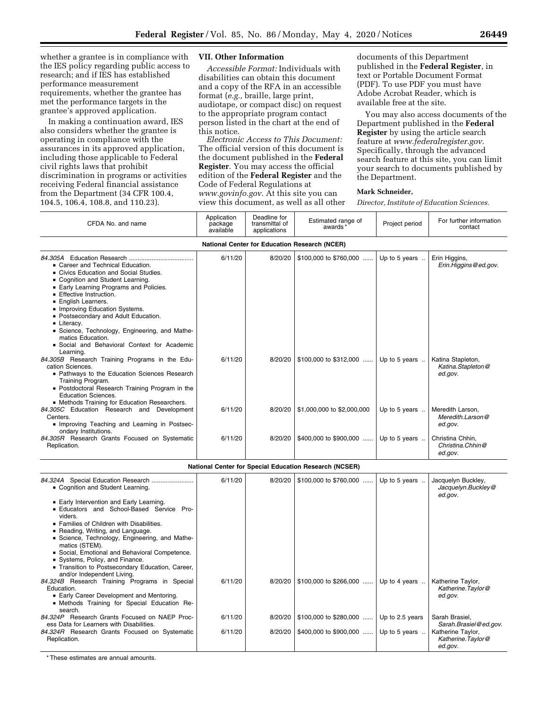whether a grantee is in compliance with the IES policy regarding public access to research; and if IES has established performance measurement requirements, whether the grantee has met the performance targets in the grantee's approved application.

In making a continuation award, IES also considers whether the grantee is operating in compliance with the assurances in its approved application, including those applicable to Federal civil rights laws that prohibit discrimination in programs or activities receiving Federal financial assistance from the Department (34 CFR 100.4, 104.5, 106.4, 108.8, and 110.23).

## **VII. Other Information**

*Accessible Format:* Individuals with disabilities can obtain this document and a copy of the RFA in an accessible format (*e.g.,* braille, large print, audiotape, or compact disc) on request to the appropriate program contact person listed in the chart at the end of this notice.

*Electronic Access to This Document:*  The official version of this document is the document published in the **Federal Register**. You may access the official edition of the **Federal Register** and the Code of Federal Regulations at *[www.govinfo.gov.](http://www.govinfo.gov)* At this site you can view this document, as well as all other

documents of this Department published in the **Federal Register**, in text or Portable Document Format (PDF). To use PDF you must have Adobe Acrobat Reader, which is available free at the site.

You may also access documents of the Department published in the **Federal Register** by using the article search feature at *[www.federalregister.gov.](http://www.federalregister.gov)*  Specifically, through the advanced search feature at this site, you can limit your search to documents published by the Department.

## **Mark Schneider,**

*Director, Institute of Education Sciences.* 

| CFDA No. and name                                                                                                                                                                                                                                                                                                                                                                                                                              | Application<br>package<br>available | Deadline for<br>transmittal of<br>applications | Estimated range of<br>awards | Project period | For further information<br>contact                |  |  |  |  |
|------------------------------------------------------------------------------------------------------------------------------------------------------------------------------------------------------------------------------------------------------------------------------------------------------------------------------------------------------------------------------------------------------------------------------------------------|-------------------------------------|------------------------------------------------|------------------------------|----------------|---------------------------------------------------|--|--|--|--|
| <b>National Center for Education Research (NCER)</b>                                                                                                                                                                                                                                                                                                                                                                                           |                                     |                                                |                              |                |                                                   |  |  |  |  |
| • Career and Technical Education.<br>• Civics Education and Social Studies.<br>• Cognition and Student Learning.<br>• Early Learning Programs and Policies.<br><b>Effective Instruction.</b><br>• English Learners.<br>• Improving Education Systems.<br>• Postsecondary and Adult Education.<br>• Literacy.<br>Science, Technology, Engineering, and Mathe-<br>matics Education.<br>• Social and Behavioral Context for Academic<br>Learning. | 6/11/20                             | 8/20/20                                        | $$100,000$ to \$760,000      | Up to 5 years  | Erin Higgins,<br>Erin.Higgins@ed.gov.             |  |  |  |  |
| 84.305B Research Training Programs in the Edu-<br>cation Sciences.<br>• Pathways to the Education Sciences Research<br>Training Program.<br>• Postdoctoral Research Training Program in the<br><b>Education Sciences.</b><br>• Methods Training for Education Researchers.                                                                                                                                                                     | 6/11/20                             | 8/20/20                                        | $$100,000$ to $$312,000$     | Up to 5 years  | Katina Stapleton,<br>Katina.Stapleton@<br>ed.gov. |  |  |  |  |
| 84.305C Education Research and Development<br>Centers.<br>Improving Teaching and Learning in Postsec-<br>ondary Institutions.                                                                                                                                                                                                                                                                                                                  | 6/11/20                             | 8/20/20                                        | \$1,000,000 to \$2,000,000   | Up to 5 years  | Meredith Larson,<br>Meredith.Larson@<br>ed.gov.   |  |  |  |  |
| 84.305R Research Grants Focused on Systematic<br>Replication.                                                                                                                                                                                                                                                                                                                                                                                  | 6/11/20                             | 8/20/20                                        | \$400,000 to \$900,000       | Up to 5 years  | Christina Chhin,<br>Christina.Chhin@<br>ed.gov.   |  |  |  |  |

| <b>National Center for Special Education Research (NCSER)</b> |         |  |                                                                           |  |                  |  |  |  |
|---------------------------------------------------------------|---------|--|---------------------------------------------------------------------------|--|------------------|--|--|--|
| Cognition and Student Learning.                               | 6/11/20 |  | $8/20/20$   \$100,000 to \$760,000    Up to 5 years    Jacquelyn Buckley, |  | Jacquelyn.Buckle |  |  |  |

| • Cognition and Student Learning.                                                                     |         |         |                          |                        | Jacquelyn.Buckley@<br>ed.gov.                     |
|-------------------------------------------------------------------------------------------------------|---------|---------|--------------------------|------------------------|---------------------------------------------------|
| ■ Early Intervention and Early Learning.<br><b>Educators and School-Based Service Pro-</b><br>viders. |         |         |                          |                        |                                                   |
| ■ Families of Children with Disabilities.                                                             |         |         |                          |                        |                                                   |
| Reading, Writing, and Language.<br>■ Science, Technology, Engineering, and Mathe-                     |         |         |                          |                        |                                                   |
| matics (STEM).                                                                                        |         |         |                          |                        |                                                   |
| Social, Emotional and Behavioral Competence.                                                          |         |         |                          |                        |                                                   |
| Systems, Policy, and Finance.                                                                         |         |         |                          |                        |                                                   |
| ■ Transition to Postsecondary Education, Career,<br>and/or Independent Living.                        |         |         |                          |                        |                                                   |
| 84.324B Research Training Programs in Special                                                         | 6/11/20 | 8/20/20 | $$100,000$ to $$266,000$ | Up to 4 years $\ldots$ | Katherine Taylor,                                 |
| Education.                                                                                            |         |         |                          |                        | Katherine.Taylor@                                 |
| ■ Early Career Development and Mentoring.<br>• Methods Training for Special Education Re-             |         |         |                          |                        | ed.gov.                                           |
| search.                                                                                               |         |         |                          |                        |                                                   |
| 84.324P Research Grants Focused on NAEP Proc-<br>ess Data for Learners with Disabilities.             | 6/11/20 | 8/20/20 | $$100,000$ to \$280,000  | Up to 2.5 years        | Sarah Brasiel.<br>Sarah.Brasiel@ed.gov.           |
| 84.324R Research Grants Focused on Systematic<br>Replication.                                         | 6/11/20 | 8/20/20 | \$400,000 to \$900,000   | Up to 5 years          | Katherine Taylor,<br>Katherine.Taylor@<br>ed.gov. |

\* These estimates are annual amounts.